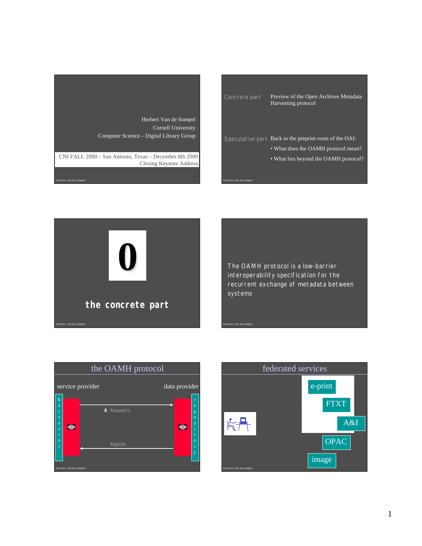

Concrete part Preview of the Open Archives Metadata Harvesting protocol Speculative part Back to the preprint roots of the OAI: • What does the OAMH protocol mean? • What lies beyond the OAMH protocol?

herbert van de sompel

herbert van de sompel



The OAMH protocol is a low-barrier interoperability specification for the recurrent exchange of metadata between systems



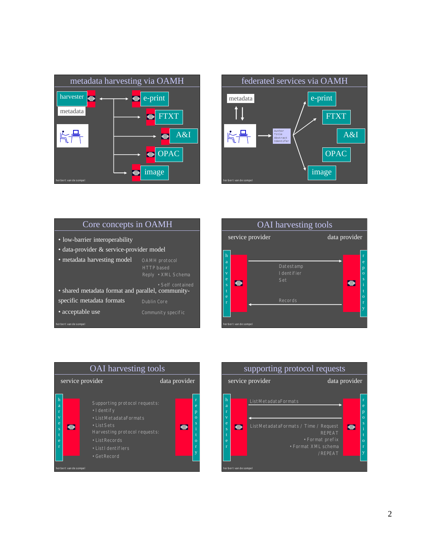



| Core concepts in OAMH                             |                                                                 |  |
|---------------------------------------------------|-----------------------------------------------------------------|--|
| • low-barrier interoperability                    |                                                                 |  |
| • data-provider & service-provider model          |                                                                 |  |
| • metadata harvesting model                       | <b>OAMH</b> protocol<br><b>HTTP</b> based<br>Reply • XML Schema |  |
| • shared metadata format and parallel, community- | • Self contained                                                |  |
| specific metadata formats                         | <b>Dublin Core</b>                                              |  |
| • acceptable use                                  | Community specific                                              |  |
| herbert van de sompel                             |                                                                 |  |





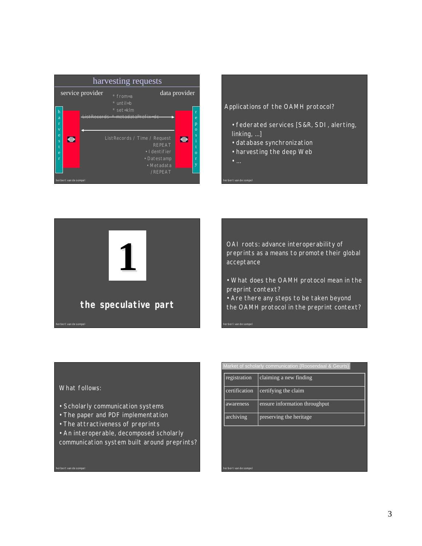| harvesting requests                               |                                                                                                                                                                                                 |                                                                 |
|---------------------------------------------------|-------------------------------------------------------------------------------------------------------------------------------------------------------------------------------------------------|-----------------------------------------------------------------|
| service provider                                  | $*$ from=a<br>* until=b                                                                                                                                                                         | data provider                                                   |
| h<br>a<br>r<br>v<br>e<br>$\bullet$<br>Ś<br>e<br>r | * set=klm<br>in a the water and a water and the water<br><b>CONTRACTOR</b><br><b>District Co</b><br>ListRecords / Time / Request<br><b>REPEAT</b><br>• I dentifier<br>• Datestamp<br>• Metadata | r<br>e<br>p<br>$\Omega$<br>Š<br>$\bullet$<br>$\Omega$<br>r<br>v |
| herbert van de sompel                             | /REPEAT                                                                                                                                                                                         |                                                                 |

Applications of the OAMH protocol?

- federated services [S&R, SDI, alerting, linking, ...]
- database synchronization
- harvesting the deep Web
- 

herbert van de sompel

herbert van de sompel



OAI roots: advance interoperability of preprints as a means to promote their global acceptance

• What does the OAMH protocol mean in the preprint context?

• Are there any steps to be taken beyond the OAMH protocol in the preprint context?

What follows:

herbert van de sompel

- Scholarly communication systems
- The paper and PDF implementation
- The attractiveness of preprints
- An interoperable, decomposed scholarly
- communication system built around preprints?

| Market of scholarly communication {Roosendaal & Geurts} |                               |
|---------------------------------------------------------|-------------------------------|
| registration                                            | claiming a new finding        |
| certification                                           | certifying the claim          |
| awareness                                               | ensure information throughput |
| archiving                                               | preserving the heritage       |
|                                                         |                               |
|                                                         |                               |
|                                                         |                               |
| herbert van de sompel                                   |                               |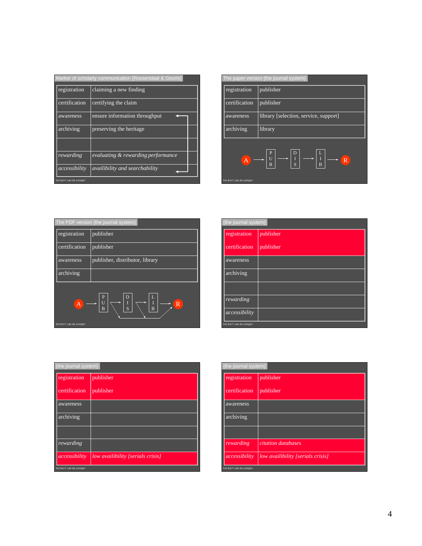| Market of scholarly communication {Roosendaal & Geurts} |                                       |  |
|---------------------------------------------------------|---------------------------------------|--|
| registration                                            | claiming a new finding                |  |
| certification                                           | certifying the claim                  |  |
| awareness                                               | ensure information throughput         |  |
| archiving                                               | preserving the heritage               |  |
|                                                         |                                       |  |
| rewarding                                               | evaluating & rewarding performance    |  |
| accessibility                                           | <i>availibility and searchability</i> |  |
| herbert van de sompel                                   |                                       |  |

| The paper version {the journal system} |                                                                                                      |
|----------------------------------------|------------------------------------------------------------------------------------------------------|
| registration                           | publisher                                                                                            |
| certification                          | publisher                                                                                            |
| awareness                              | library [selection, service, support]                                                                |
| archiving                              | library                                                                                              |
| A                                      | D<br>$\mathbf{P}$<br>U<br>$\frac{I}{S}$<br>$\mathbb{R}$<br>$\overline{B}$<br>$\overline{\mathsf{B}}$ |
| herbert van de sompel                  |                                                                                                      |

| The PDF version {the journal system}    |                                                                                                        |
|-----------------------------------------|--------------------------------------------------------------------------------------------------------|
| registration                            | publisher                                                                                              |
| certification                           | publisher                                                                                              |
| awareness                               | publisher, distributor, library                                                                        |
| archiving                               |                                                                                                        |
| $\overline{A}$<br>herbert van de sompel | $\overline{P}$<br>D<br>Ι.<br>$\overline{\mathrm{R}}$<br>S<br>$\overline{B}$<br>$\overline{\mathsf{B}}$ |

| {the journal system}  |           |
|-----------------------|-----------|
| registration          | publisher |
| certification         | publisher |
| awareness             |           |
| archiving             |           |
|                       |           |
| rewarding             |           |
| accessibility         |           |
| herbert van de sompel |           |

| {the journal system}  |                                   |
|-----------------------|-----------------------------------|
| registration          | publisher                         |
| certification         | publisher                         |
| awareness             |                                   |
| archiving             |                                   |
|                       |                                   |
| rewarding             |                                   |
| accessibility         | low availibility [serials crisis] |
| herbert van de sompel |                                   |

| {the journal system}  |                                   |
|-----------------------|-----------------------------------|
| registration          | publisher                         |
| certification         | publisher                         |
| awareness             |                                   |
| archiving             |                                   |
|                       |                                   |
| rewarding             | citation databases                |
| accessibility         | low availibility [serials crisis] |
| herbert van de sompel |                                   |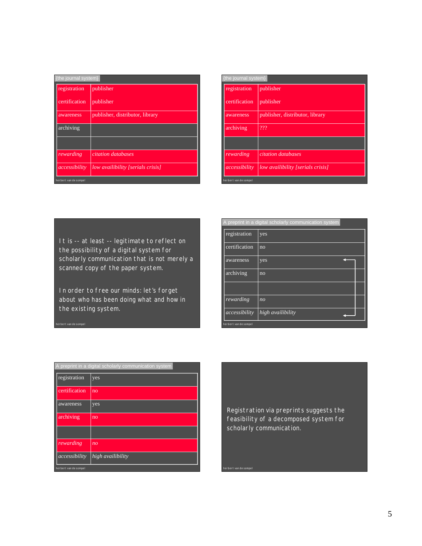| {the journal system}  |                                   |
|-----------------------|-----------------------------------|
| registration          | publisher                         |
| certification         | publisher                         |
| awareness             | publisher, distributor, library   |
| archiving             |                                   |
|                       |                                   |
| rewarding             | citation databases                |
| accessibility         | low availibility [serials crisis] |
| herbert van de sompel |                                   |

| {the journal system}  |                                   |
|-----------------------|-----------------------------------|
| registration          | publisher                         |
| certification         | publisher                         |
| awareness             | publisher, distributor, library   |
| archiving             | 222                               |
|                       |                                   |
| rewarding             | citation databases                |
| accessibility         | low availibility [serials crisis] |
| herbert van de sompel |                                   |

It is -- at least -- legitimate to reflect on the possibility of a digital system for scholarly communication that is not merely a scanned copy of the paper system.

In order to free our minds: let's forget about who has been doing what and how in the existing system.

herbert van de sompel

|                       | A preprint in a digital scholarly communication system |
|-----------------------|--------------------------------------------------------|
| registration          | yes                                                    |
| certification         | no                                                     |
| awareness             | yes                                                    |
| archiving             | no                                                     |
|                       |                                                        |
| rewarding             | n <sub>O</sub>                                         |
| accessibility         | high availibility                                      |
| herbert van de sompel |                                                        |

| A preprint in a digital scholarly communication system |                   |
|--------------------------------------------------------|-------------------|
| registration                                           | yes               |
| certification                                          | n <sub>O</sub>    |
| awareness                                              | yes               |
| archiving                                              | no                |
|                                                        |                   |
| rewarding                                              | n <sub>O</sub>    |
| accessibility                                          | high availibility |
| herbert van de sompel                                  |                   |

Registration via preprints suggests the feasibility of a decomposed system for scholarly communication.

herbert van de sompel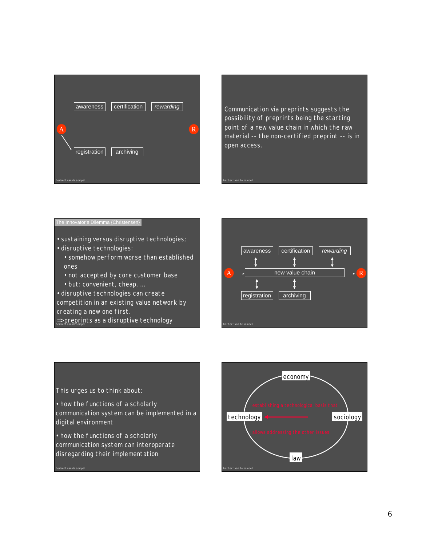

Communication via preprints suggests the possibility of preprints being the starting point of a new value chain in which the raw material -- the non-certified preprint -- is in open access.

herbert van de sompel

## The Innovator's Dilemma {Christensen}

- sustaining versus disruptive technologies;
- disruptive technologies:

herbert van de sompel

- somehow perform worse than established ones
- not accepted by core customer base • but: convenient, cheap, …
- disruptive technologies can create

competition in an existing value network by creating a new one first.

herbert van de sompel => preprints as a disruptive technology





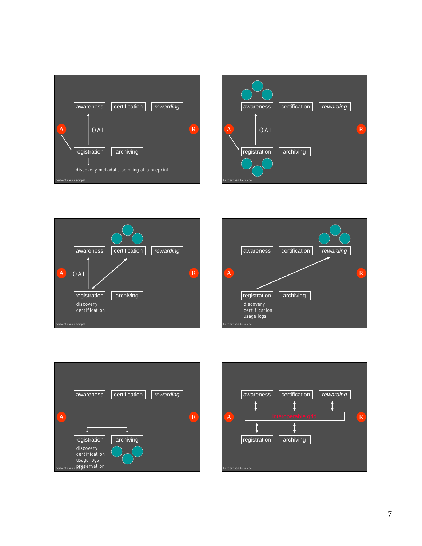









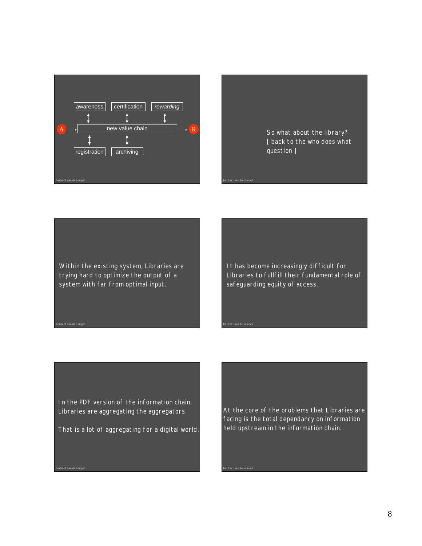



herbert van de sompel

herbert van de sompel

herbert van de sompel

Within the existing system, Libraries are trying hard to optimize the output of a system with far from optimal input.

herbert van de sompel

herbert van de sompel

It has become increasingly difficult for Libraries to fullfill their fundamental role of safeguarding equity of access.

In the PDF version of the information chain, Libraries are aggregating the aggregators.

That is a lot of aggregating for a digital world.

At the core of the problems that Libraries are facing is the total dependancy on information held upstream in the information chain.